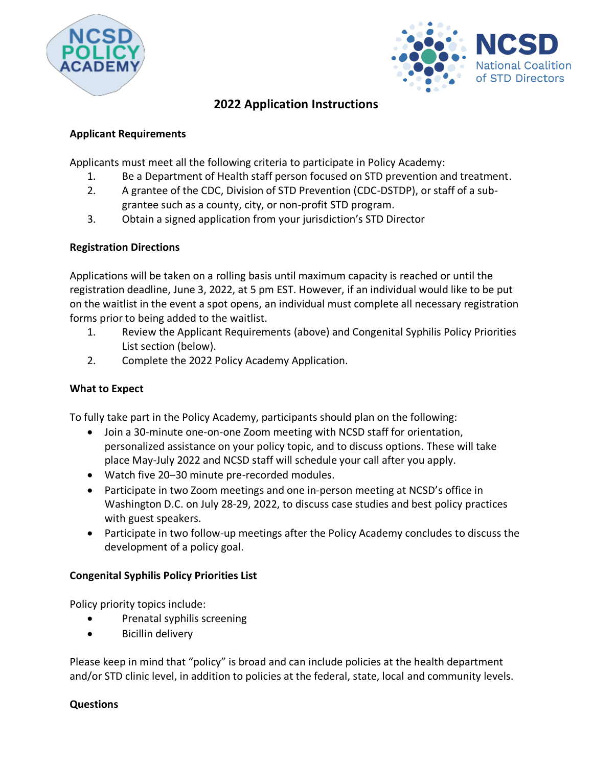



# **2022 Application Instructions**

## **Applicant Requirements**

Applicants must meet all the following criteria to participate in Policy Academy:

- 1. Be a Department of Health staff person focused on STD prevention and treatment.
- 2. A grantee of the CDC, Division of STD Prevention (CDC-DSTDP), or staff of a subgrantee such as a county, city, or non-profit STD program.
- 3. Obtain a signed application from your jurisdiction's STD Director

## **Registration Directions**

Applications will be taken on a rolling basis until maximum capacity is reached or until the registration deadline, June 3, 2022, at 5 pm EST. However, if an individual would like to be put on the waitlist in the event a spot opens, an individual must complete all necessary registration forms prior to being added to the waitlist.

- 1. Review the Applicant Requirements (above) and Congenital Syphilis Policy Priorities List section (below).
- 2. Complete the 2022 Policy Academy Application.

## **What to Expect**

To fully take part in the Policy Academy, participants should plan on the following:

- Join a 30-minute one-on-one Zoom meeting with NCSD staff for orientation, personalized assistance on your policy topic, and to discuss options. These will take place May-July 2022 and NCSD staff will schedule your call after you apply.
- Watch five 20–30 minute pre-recorded modules.
- Participate in two Zoom meetings and one in-person meeting at NCSD's office in Washington D.C. on July 28-29, 2022, to discuss case studies and best policy practices with guest speakers.
- Participate in two follow-up meetings after the Policy Academy concludes to discuss the development of a policy goal.

#### **Congenital Syphilis Policy Priorities List**

Policy priority topics include:

- Prenatal syphilis screening
- Bicillin delivery

Please keep in mind that "policy" is broad and can include policies at the health department and/or STD clinic level, in addition to policies at the federal, state, local and community levels.

#### **Questions**